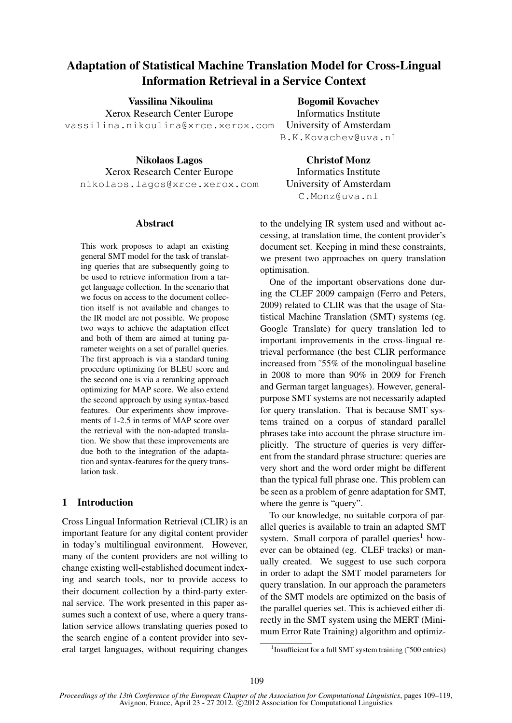# Adaptation of Statistical Machine Translation Model for Cross-Lingual Information Retrieval in a Service Context

Vassilina Nikoulina Xerox Research Center Europe vassilina.nikoulina@xrce.xerox.com

Nikolaos Lagos Xerox Research Center Europe nikolaos.lagos@xrce.xerox.com

# Abstract

This work proposes to adapt an existing general SMT model for the task of translating queries that are subsequently going to be used to retrieve information from a target language collection. In the scenario that we focus on access to the document collection itself is not available and changes to the IR model are not possible. We propose two ways to achieve the adaptation effect and both of them are aimed at tuning parameter weights on a set of parallel queries. The first approach is via a standard tuning procedure optimizing for BLEU score and the second one is via a reranking approach optimizing for MAP score. We also extend the second approach by using syntax-based features. Our experiments show improvements of 1-2.5 in terms of MAP score over the retrieval with the non-adapted translation. We show that these improvements are due both to the integration of the adaptation and syntax-features for the query translation task.

# 1 Introduction

Cross Lingual Information Retrieval (CLIR) is an important feature for any digital content provider in today's multilingual environment. However, many of the content providers are not willing to change existing well-established document indexing and search tools, nor to provide access to their document collection by a third-party external service. The work presented in this paper assumes such a context of use, where a query translation service allows translating queries posed to the search engine of a content provider into several target languages, without requiring changes

Bogomil Kovachev

Informatics Institute University of Amsterdam B.K.Kovachev@uva.nl

Christof Monz Informatics Institute University of Amsterdam C.Monz@uva.nl

to the undelying IR system used and without accessing, at translation time, the content provider's document set. Keeping in mind these constraints, we present two approaches on query translation optimisation.

One of the important observations done during the CLEF 2009 campaign (Ferro and Peters, 2009) related to CLIR was that the usage of Statistical Machine Translation (SMT) systems (eg. Google Translate) for query translation led to important improvements in the cross-lingual retrieval performance (the best CLIR performance increased from ˜55% of the monolingual baseline in 2008 to more than 90% in 2009 for French and German target languages). However, generalpurpose SMT systems are not necessarily adapted for query translation. That is because SMT systems trained on a corpus of standard parallel phrases take into account the phrase structure implicitly. The structure of queries is very different from the standard phrase structure: queries are very short and the word order might be different than the typical full phrase one. This problem can be seen as a problem of genre adaptation for SMT, where the genre is "query".

To our knowledge, no suitable corpora of parallel queries is available to train an adapted SMT system. Small corpora of parallel queries<sup>1</sup> however can be obtained (eg. CLEF tracks) or manually created. We suggest to use such corpora in order to adapt the SMT model parameters for query translation. In our approach the parameters of the SMT models are optimized on the basis of the parallel queries set. This is achieved either directly in the SMT system using the MERT (Minimum Error Rate Training) algorithm and optimiz-

<sup>&</sup>lt;sup>1</sup> Insufficient for a full SMT system training (~500 entries)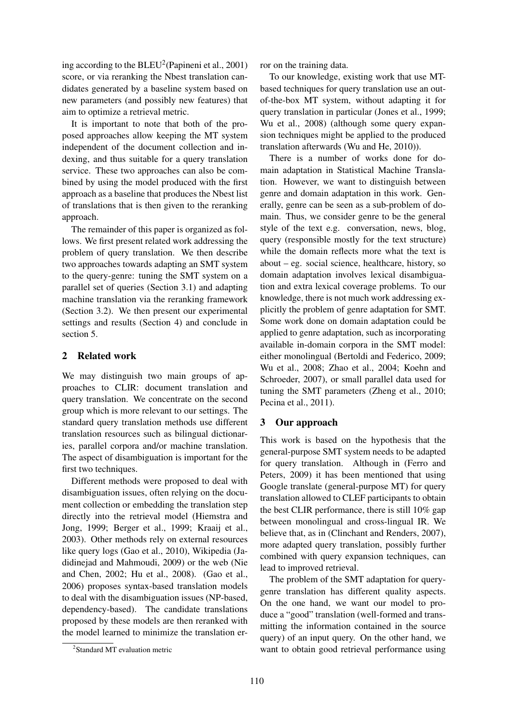ing according to the  $BLEU^2$  (Papineni et al., 2001) score, or via reranking the Nbest translation candidates generated by a baseline system based on new parameters (and possibly new features) that aim to optimize a retrieval metric.

It is important to note that both of the proposed approaches allow keeping the MT system independent of the document collection and indexing, and thus suitable for a query translation service. These two approaches can also be combined by using the model produced with the first approach as a baseline that produces the Nbest list of translations that is then given to the reranking approach.

The remainder of this paper is organized as follows. We first present related work addressing the problem of query translation. We then describe two approaches towards adapting an SMT system to the query-genre: tuning the SMT system on a parallel set of queries (Section 3.1) and adapting machine translation via the reranking framework (Section 3.2). We then present our experimental settings and results (Section 4) and conclude in section 5.

## 2 Related work

We may distinguish two main groups of approaches to CLIR: document translation and query translation. We concentrate on the second group which is more relevant to our settings. The standard query translation methods use different translation resources such as bilingual dictionaries, parallel corpora and/or machine translation. The aspect of disambiguation is important for the first two techniques.

Different methods were proposed to deal with disambiguation issues, often relying on the document collection or embedding the translation step directly into the retrieval model (Hiemstra and Jong, 1999; Berger et al., 1999; Kraaij et al., 2003). Other methods rely on external resources like query logs (Gao et al., 2010), Wikipedia (Jadidinejad and Mahmoudi, 2009) or the web (Nie and Chen, 2002; Hu et al., 2008). (Gao et al., 2006) proposes syntax-based translation models to deal with the disambiguation issues (NP-based, dependency-based). The candidate translations proposed by these models are then reranked with the model learned to minimize the translation error on the training data.

To our knowledge, existing work that use MTbased techniques for query translation use an outof-the-box MT system, without adapting it for query translation in particular (Jones et al., 1999; Wu et al., 2008) (although some query expansion techniques might be applied to the produced translation afterwards (Wu and He, 2010)).

There is a number of works done for domain adaptation in Statistical Machine Translation. However, we want to distinguish between genre and domain adaptation in this work. Generally, genre can be seen as a sub-problem of domain. Thus, we consider genre to be the general style of the text e.g. conversation, news, blog, query (responsible mostly for the text structure) while the domain reflects more what the text is about – eg. social science, healthcare, history, so domain adaptation involves lexical disambiguation and extra lexical coverage problems. To our knowledge, there is not much work addressing explicitly the problem of genre adaptation for SMT. Some work done on domain adaptation could be applied to genre adaptation, such as incorporating available in-domain corpora in the SMT model: either monolingual (Bertoldi and Federico, 2009; Wu et al., 2008; Zhao et al., 2004; Koehn and Schroeder, 2007), or small parallel data used for tuning the SMT parameters (Zheng et al., 2010; Pecina et al., 2011).

## 3 Our approach

This work is based on the hypothesis that the general-purpose SMT system needs to be adapted for query translation. Although in (Ferro and Peters, 2009) it has been mentioned that using Google translate (general-purpose MT) for query translation allowed to CLEF participants to obtain the best CLIR performance, there is still 10% gap between monolingual and cross-lingual IR. We believe that, as in (Clinchant and Renders, 2007), more adapted query translation, possibly further combined with query expansion techniques, can lead to improved retrieval.

The problem of the SMT adaptation for querygenre translation has different quality aspects. On the one hand, we want our model to produce a "good" translation (well-formed and transmitting the information contained in the source query) of an input query. On the other hand, we want to obtain good retrieval performance using

<sup>&</sup>lt;sup>2</sup>Standard MT evaluation metric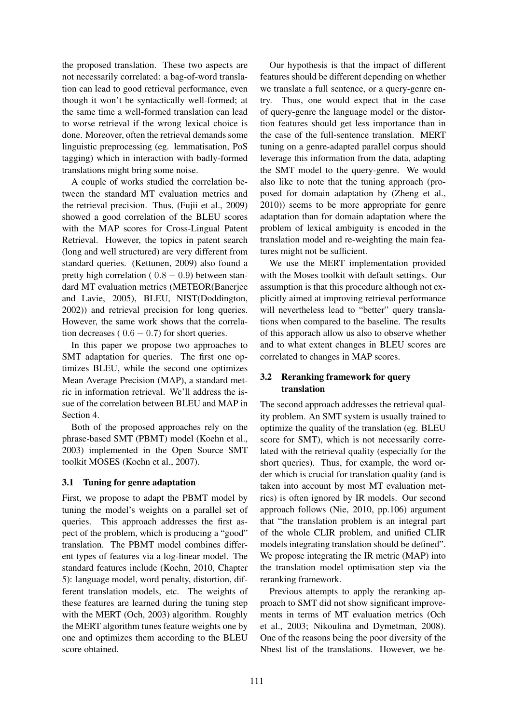the proposed translation. These two aspects are not necessarily correlated: a bag-of-word translation can lead to good retrieval performance, even though it won't be syntactically well-formed; at the same time a well-formed translation can lead to worse retrieval if the wrong lexical choice is done. Moreover, often the retrieval demands some linguistic preprocessing (eg. lemmatisation, PoS tagging) which in interaction with badly-formed translations might bring some noise.

A couple of works studied the correlation between the standard MT evaluation metrics and the retrieval precision. Thus, (Fujii et al., 2009) showed a good correlation of the BLEU scores with the MAP scores for Cross-Lingual Patent Retrieval. However, the topics in patent search (long and well structured) are very different from standard queries. (Kettunen, 2009) also found a pretty high correlation ( $0.8 - 0.9$ ) between standard MT evaluation metrics (METEOR(Banerjee and Lavie, 2005), BLEU, NIST(Doddington, 2002)) and retrieval precision for long queries. However, the same work shows that the correlation decreases ( $0.6 - 0.7$ ) for short queries.

In this paper we propose two approaches to SMT adaptation for queries. The first one optimizes BLEU, while the second one optimizes Mean Average Precision (MAP), a standard metric in information retrieval. We'll address the issue of the correlation between BLEU and MAP in Section 4.

Both of the proposed approaches rely on the phrase-based SMT (PBMT) model (Koehn et al., 2003) implemented in the Open Source SMT toolkit MOSES (Koehn et al., 2007).

# 3.1 Tuning for genre adaptation

First, we propose to adapt the PBMT model by tuning the model's weights on a parallel set of queries. This approach addresses the first aspect of the problem, which is producing a "good" translation. The PBMT model combines different types of features via a log-linear model. The standard features include (Koehn, 2010, Chapter 5): language model, word penalty, distortion, different translation models, etc. The weights of these features are learned during the tuning step with the MERT (Och, 2003) algorithm. Roughly the MERT algorithm tunes feature weights one by one and optimizes them according to the BLEU score obtained.

Our hypothesis is that the impact of different features should be different depending on whether we translate a full sentence, or a query-genre entry. Thus, one would expect that in the case of query-genre the language model or the distortion features should get less importance than in the case of the full-sentence translation. MERT tuning on a genre-adapted parallel corpus should leverage this information from the data, adapting the SMT model to the query-genre. We would also like to note that the tuning approach (proposed for domain adaptation by (Zheng et al., 2010)) seems to be more appropriate for genre adaptation than for domain adaptation where the problem of lexical ambiguity is encoded in the translation model and re-weighting the main features might not be sufficient.

We use the MERT implementation provided with the Moses toolkit with default settings. Our assumption is that this procedure although not explicitly aimed at improving retrieval performance will nevertheless lead to "better" query translations when compared to the baseline. The results of this apporach allow us also to observe whether and to what extent changes in BLEU scores are correlated to changes in MAP scores.

# 3.2 Reranking framework for query translation

The second approach addresses the retrieval quality problem. An SMT system is usually trained to optimize the quality of the translation (eg. BLEU score for SMT), which is not necessarily correlated with the retrieval quality (especially for the short queries). Thus, for example, the word order which is crucial for translation quality (and is taken into account by most MT evaluation metrics) is often ignored by IR models. Our second approach follows (Nie, 2010, pp.106) argument that "the translation problem is an integral part of the whole CLIR problem, and unified CLIR models integrating translation should be defined". We propose integrating the IR metric (MAP) into the translation model optimisation step via the reranking framework.

Previous attempts to apply the reranking approach to SMT did not show significant improvements in terms of MT evaluation metrics (Och et al., 2003; Nikoulina and Dymetman, 2008). One of the reasons being the poor diversity of the Nbest list of the translations. However, we be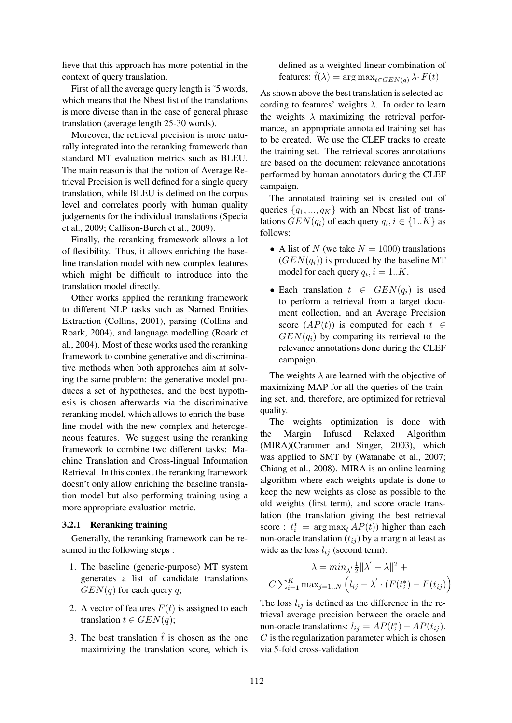lieve that this approach has more potential in the context of query translation.

First of all the average query length is ~5 words, which means that the Nbest list of the translations is more diverse than in the case of general phrase translation (average length 25-30 words).

Moreover, the retrieval precision is more naturally integrated into the reranking framework than standard MT evaluation metrics such as BLEU. The main reason is that the notion of Average Retrieval Precision is well defined for a single query translation, while BLEU is defined on the corpus level and correlates poorly with human quality judgements for the individual translations (Specia et al., 2009; Callison-Burch et al., 2009).

Finally, the reranking framework allows a lot of flexibility. Thus, it allows enriching the baseline translation model with new complex features which might be difficult to introduce into the translation model directly.

Other works applied the reranking framework to different NLP tasks such as Named Entities Extraction (Collins, 2001), parsing (Collins and Roark, 2004), and language modelling (Roark et al., 2004). Most of these works used the reranking framework to combine generative and discriminative methods when both approaches aim at solving the same problem: the generative model produces a set of hypotheses, and the best hypothesis is chosen afterwards via the discriminative reranking model, which allows to enrich the baseline model with the new complex and heterogeneous features. We suggest using the reranking framework to combine two different tasks: Machine Translation and Cross-lingual Information Retrieval. In this context the reranking framework doesn't only allow enriching the baseline translation model but also performing training using a more appropriate evaluation metric.

#### 3.2.1 Reranking training

Generally, the reranking framework can be resumed in the following steps :

- 1. The baseline (generic-purpose) MT system generates a list of candidate translations  $GEN(q)$  for each query q;
- 2. A vector of features  $F(t)$  is assigned to each translation  $t \in GEN(q)$ ;
- 3. The best translation  $\hat{t}$  is chosen as the one maximizing the translation score, which is

defined as a weighted linear combination of features:  $\hat{t}(\lambda) = \arg \max_{t \in GEN(q)} \lambda \cdot F(t)$ 

As shown above the best translation is selected according to features' weights  $\lambda$ . In order to learn the weights  $\lambda$  maximizing the retrieval performance, an appropriate annotated training set has to be created. We use the CLEF tracks to create the training set. The retrieval scores annotations are based on the document relevance annotations performed by human annotators during the CLEF campaign.

The annotated training set is created out of queries  $\{q_1, ..., q_K\}$  with an Nbest list of translations  $GEN(q_i)$  of each query  $q_i, i \in \{1..K\}$  as follows:

- A list of N (we take  $N = 1000$ ) translations  $(GEN(q_i))$  is produced by the baseline MT model for each query  $q_i$ ,  $i = 1..K$ .
- Each translation  $t \in GEN(q_i)$  is used to perform a retrieval from a target document collection, and an Average Precision score  $(AP(t))$  is computed for each  $t \in$  $GEN(q_i)$  by comparing its retrieval to the relevance annotations done during the CLEF campaign.

The weights  $\lambda$  are learned with the objective of maximizing MAP for all the queries of the training set, and, therefore, are optimized for retrieval quality.

The weights optimization is done with the Margin Infused Relaxed Algorithm (MIRA)(Crammer and Singer, 2003), which was applied to SMT by (Watanabe et al., 2007; Chiang et al., 2008). MIRA is an online learning algorithm where each weights update is done to keep the new weights as close as possible to the old weights (first term), and score oracle translation (the translation giving the best retrieval score :  $t_i^* = \arg \max_t AP(t)$  higher than each non-oracle translation  $(t_{ij})$  by a margin at least as wide as the loss  $l_{ij}$  (second term):

$$
\lambda = \min_{\lambda'} \frac{1}{2} ||\lambda' - \lambda||^2 + C \sum_{i=1}^K \max_{j=1..N} \left( l_{ij} - \lambda' \cdot (F(t_i^*) - F(t_{ij})) \right)
$$

The loss  $l_{ij}$  is defined as the difference in the retrieval average precision between the oracle and non-oracle translations:  $l_{ij} = AP(t_i^*) - AP(t_{ij}).$  $C$  is the regularization parameter which is chosen via 5-fold cross-validation.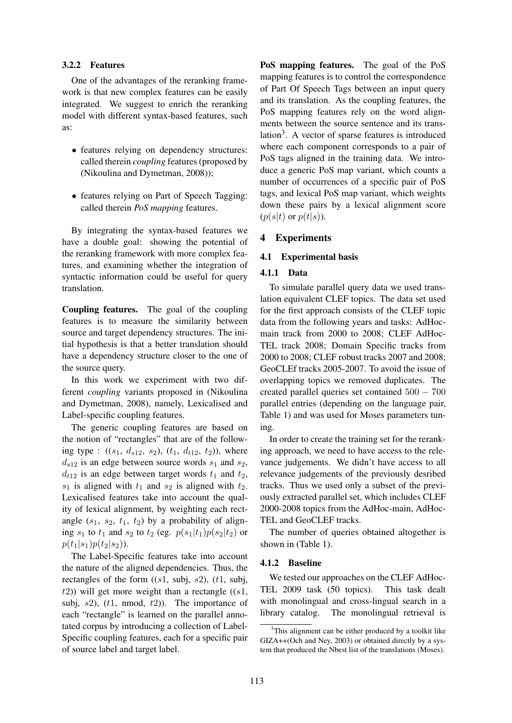## 3.2.2 Features

One of the advantages of the reranking framework is that new complex features can be easily integrated. We suggest to enrich the reranking model with different syntax-based features, such as:

- features relying on dependency structures: called therein *coupling* features (proposed by (Nikoulina and Dymetman, 2008));
- features relying on Part of Speech Tagging: called therein *PoS mapping* features.

By integrating the syntax-based features we have a double goal: showing the potential of the reranking framework with more complex features, and examining whether the integration of syntactic information could be useful for query translation.

Coupling features. The goal of the coupling features is to measure the similarity between source and target dependency structures. The initial hypothesis is that a better translation should have a dependency structure closer to the one of the source query.

In this work we experiment with two different *coupling* variants proposed in (Nikoulina and Dymetman, 2008), namely, Lexicalised and Label-specific coupling features.

The generic coupling features are based on the notion of "rectangles" that are of the following type :  $((s_1, d_{s12}, s_2), (t_1, d_{t12}, t_2))$ , where  $d_{s12}$  is an edge between source words  $s_1$  and  $s_2$ ,  $d_{t12}$  is an edge between target words  $t_1$  and  $t_2$ ,  $s_1$  is aligned with  $t_1$  and  $s_2$  is aligned with  $t_2$ . Lexicalised features take into account the quality of lexical alignment, by weighting each rectangle  $(s_1, s_2, t_1, t_2)$  by a probability of aligning  $s_1$  to  $t_1$  and  $s_2$  to  $t_2$  (eg.  $p(s_1|t_1)p(s_2|t_2)$ ) or  $p(t_1|s_1)p(t_2|s_2)$ .

The Label-Specific features take into account the nature of the aligned dependencies. Thus, the rectangles of the form  $((s1, subi, s2), (t1, subi,$  $(t2)$ ) will get more weight than a rectangle  $((s1,$ subj,  $s2$ ),  $(t1, nmod, t2)$ ). The importance of each "rectangle" is learned on the parallel annotated corpus by introducing a collection of Label-Specific coupling features, each for a specific pair of source label and target label.

PoS mapping features. The goal of the PoS mapping features is to control the correspondence of Part Of Speech Tags between an input query and its translation. As the coupling features, the PoS mapping features rely on the word alignments between the source sentence and its translation<sup>3</sup>. A vector of sparse features is introduced where each component corresponds to a pair of PoS tags aligned in the training data. We introduce a generic PoS map variant, which counts a number of occurrences of a specific pair of PoS tags, and lexical PoS map variant, which weights down these pairs by a lexical alignment score  $(p(s|t)$  or  $p(t|s)$ ).

### 4 Experiments

#### 4.1 Experimental basis

#### 4.1.1 Data

To simulate parallel query data we used translation equivalent CLEF topics. The data set used for the first approach consists of the CLEF topic data from the following years and tasks: AdHocmain track from 2000 to 2008; CLEF AdHoc-TEL track 2008; Domain Specific tracks from 2000 to 2008; CLEF robust tracks 2007 and 2008; GeoCLEf tracks 2005-2007. To avoid the issue of overlapping topics we removed duplicates. The created parallel queries set contained 500 − 700 parallel entries (depending on the language pair, Table 1) and was used for Moses parameters tuning.

In order to create the training set for the reranking approach, we need to have access to the relevance judgements. We didn't have access to all relevance judgements of the previously desribed tracks. Thus we used only a subset of the previously extracted parallel set, which includes CLEF 2000-2008 topics from the AdHoc-main, AdHoc-TEL and GeoCLEF tracks.

The number of queries obtained altogether is shown in (Table 1).

#### 4.1.2 Baseline

We tested our approaches on the CLEF AdHoc-TEL 2009 task (50 topics). This task dealt with monolingual and cross-lingual search in a library catalog. The monolingual retrieval is

<sup>&</sup>lt;sup>3</sup>This alignment can be either produced by a toolkit like GIZA++(Och and Ney, 2003) or obtained directly by a system that produced the Nbest list of the translations (Moses).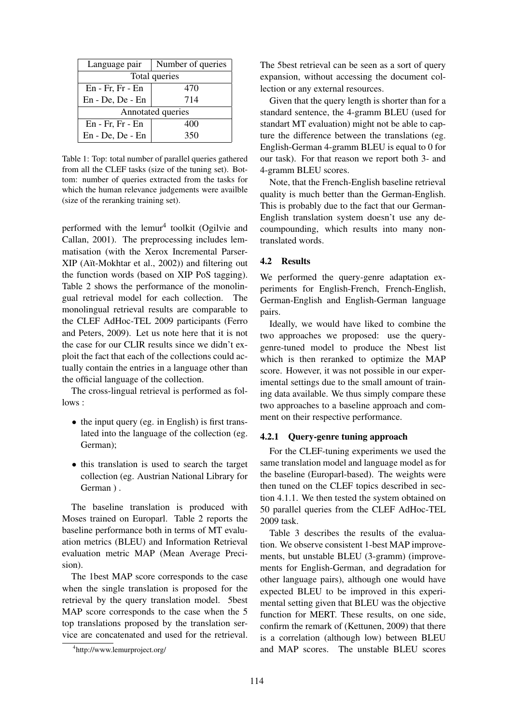| Language pair        | Number of queries |  |  |  |  |
|----------------------|-------------------|--|--|--|--|
| Total queries        |                   |  |  |  |  |
| $En$ - Fr, Fr - $En$ | 470               |  |  |  |  |
| En - De, De - En     | 714               |  |  |  |  |
| Annotated queries    |                   |  |  |  |  |
| $En$ - Fr, Fr - $En$ | 400               |  |  |  |  |
| En - De, De - En     | 350               |  |  |  |  |

Table 1: Top: total number of parallel queries gathered from all the CLEF tasks (size of the tuning set). Bottom: number of queries extracted from the tasks for which the human relevance judgements were availble (size of the reranking training set).

performed with the lemur<sup>4</sup> toolkit (Ogilvie and Callan, 2001). The preprocessing includes lemmatisation (with the Xerox Incremental Parser-XIP (Aït-Mokhtar et al., 2002)) and filtering out the function words (based on XIP PoS tagging). Table 2 shows the performance of the monolingual retrieval model for each collection. The monolingual retrieval results are comparable to the CLEF AdHoc-TEL 2009 participants (Ferro and Peters, 2009). Let us note here that it is not the case for our CLIR results since we didn't exploit the fact that each of the collections could actually contain the entries in a language other than the official language of the collection.

The cross-lingual retrieval is performed as follows :

- the input query (eg. in English) is first translated into the language of the collection (eg. German);
- this translation is used to search the target collection (eg. Austrian National Library for German ).

The baseline translation is produced with Moses trained on Europarl. Table 2 reports the baseline performance both in terms of MT evaluation metrics (BLEU) and Information Retrieval evaluation metric MAP (Mean Average Precision).

The 1best MAP score corresponds to the case when the single translation is proposed for the retrieval by the query translation model. 5best MAP score corresponds to the case when the 5 top translations proposed by the translation service are concatenated and used for the retrieval.

The 5best retrieval can be seen as a sort of query expansion, without accessing the document collection or any external resources.

Given that the query length is shorter than for a standard sentence, the 4-gramm BLEU (used for standart MT evaluation) might not be able to capture the difference between the translations (eg. English-German 4-gramm BLEU is equal to 0 for our task). For that reason we report both 3- and 4-gramm BLEU scores.

Note, that the French-English baseline retrieval quality is much better than the German-English. This is probably due to the fact that our German-English translation system doesn't use any decoumpounding, which results into many nontranslated words.

#### 4.2 Results

We performed the query-genre adaptation experiments for English-French, French-English, German-English and English-German language pairs.

Ideally, we would have liked to combine the two approaches we proposed: use the querygenre-tuned model to produce the Nbest list which is then reranked to optimize the MAP score. However, it was not possible in our experimental settings due to the small amount of training data available. We thus simply compare these two approaches to a baseline approach and comment on their respective performance.

## 4.2.1 Query-genre tuning approach

For the CLEF-tuning experiments we used the same translation model and language model as for the baseline (Europarl-based). The weights were then tuned on the CLEF topics described in section 4.1.1. We then tested the system obtained on 50 parallel queries from the CLEF AdHoc-TEL 2009 task.

Table 3 describes the results of the evaluation. We observe consistent 1-best MAP improvements, but unstable BLEU (3-gramm) (improvements for English-German, and degradation for other language pairs), although one would have expected BLEU to be improved in this experimental setting given that BLEU was the objective function for MERT. These results, on one side, confirm the remark of (Kettunen, 2009) that there is a correlation (although low) between BLEU and MAP scores. The unstable BLEU scores

<sup>4</sup> http://www.lemurproject.org/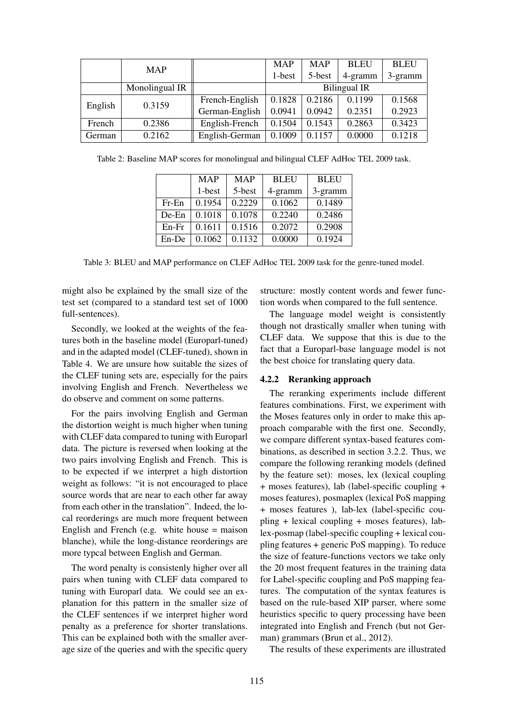|         | <b>MAP</b>     |                | <b>MAP</b>          | <b>MAP</b> | <b>BLEU</b> | <b>BLEU</b> |  |
|---------|----------------|----------------|---------------------|------------|-------------|-------------|--|
|         |                |                | 1-best              | 5-best     | 4-gramm     | 3-gramm     |  |
|         | Monolingual IR |                | <b>Bilingual IR</b> |            |             |             |  |
| English | 0.3159         | French-English | 0.1828              | 0.2186     | 0.1199      | 0.1568      |  |
|         |                | German-English | 0.0941              | 0.0942     | 0.2351      | 0.2923      |  |
| French  | 0.2386         | English-French | 0.1504              | 0.1543     | 0.2863      | 0.3423      |  |
| German  | 0.2162         | English-German | 0.1009              | 0.1157     | 0.0000      | 0.1218      |  |

Table 2: Baseline MAP scores for monolingual and bilingual CLEF AdHoc TEL 2009 task.

|          | <b>MAP</b> | <b>MAP</b> | <b>BLEU</b> | <b>BLEU</b> |
|----------|------------|------------|-------------|-------------|
|          | 1-best     | 5-best     | 4-gramm     | 3-gramm     |
| $Fr$ -En | 0.1954     | 0.2229     | 0.1062      | 0.1489      |
| $De-En$  | 0.1018     | 0.1078     | 0.2240      | 0.2486      |
| $En-Fr$  | 0.1611     | 0.1516     | 0.2072      | 0.2908      |
| En-De    | 0.1062     | 0.1132     | 0.0000      | 0.1924      |

Table 3: BLEU and MAP performance on CLEF AdHoc TEL 2009 task for the genre-tuned model.

might also be explained by the small size of the test set (compared to a standard test set of 1000 full-sentences).

Secondly, we looked at the weights of the features both in the baseline model (Europarl-tuned) and in the adapted model (CLEF-tuned), shown in Table 4. We are unsure how suitable the sizes of the CLEF tuning sets are, especially for the pairs involving English and French. Nevertheless we do observe and comment on some patterns.

For the pairs involving English and German the distortion weight is much higher when tuning with CLEF data compared to tuning with Europarl data. The picture is reversed when looking at the two pairs involving English and French. This is to be expected if we interpret a high distortion weight as follows: "it is not encouraged to place source words that are near to each other far away from each other in the translation". Indeed, the local reorderings are much more frequent between English and French (e.g. white house = maison blanche), while the long-distance reorderings are more typcal between English and German.

The word penalty is consistenly higher over all pairs when tuning with CLEF data compared to tuning with Europarl data. We could see an explanation for this pattern in the smaller size of the CLEF sentences if we interpret higher word penalty as a preference for shorter translations. This can be explained both with the smaller average size of the queries and with the specific query

structure: mostly content words and fewer function words when compared to the full sentence.

The language model weight is consistently though not drastically smaller when tuning with CLEF data. We suppose that this is due to the fact that a Europarl-base language model is not the best choice for translating query data.

## 4.2.2 Reranking approach

The reranking experiments include different features combinations. First, we experiment with the Moses features only in order to make this approach comparable with the first one. Secondly, we compare different syntax-based features combinations, as described in section 3.2.2. Thus, we compare the following reranking models (defined by the feature set): moses, lex (lexical coupling + moses features), lab (label-specific coupling + moses features), posmaplex (lexical PoS mapping + moses features ), lab-lex (label-specific coupling + lexical coupling + moses features), lablex-posmap (label-specific coupling + lexical coupling features + generic PoS mapping). To reduce the size of feature-functions vectors we take only the 20 most frequent features in the training data for Label-specific coupling and PoS mapping features. The computation of the syntax features is based on the rule-based XIP parser, where some heuristics specific to query processing have been integrated into English and French (but not German) grammars (Brun et al., 2012).

The results of these experiments are illustrated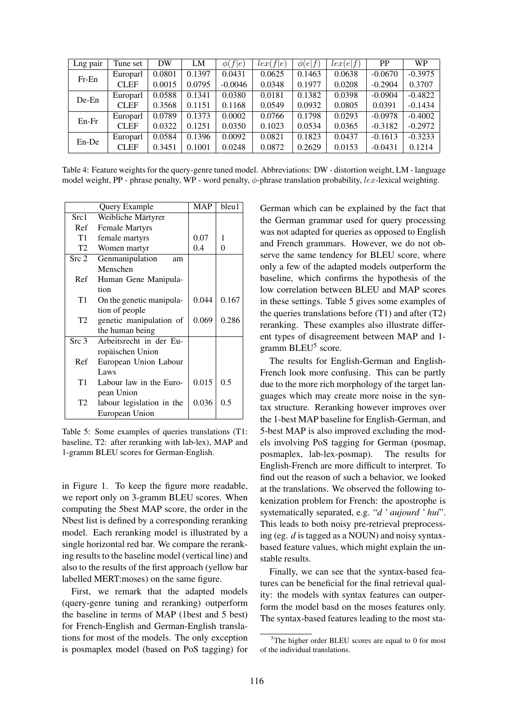| Lng pair | Tune set    | DW     | LM     | $\phi(f e)$ | lex(f e) | $\phi(e f)$ | lex(e f) | <b>PP</b> | <b>WP</b> |
|----------|-------------|--------|--------|-------------|----------|-------------|----------|-----------|-----------|
| Fr-En    | Europarl    | 0.0801 | 0.1397 | 0.0431      | 0.0625   | 0.1463      | 0.0638   | $-0.0670$ | $-0.3975$ |
|          | <b>CLEF</b> | 0.0015 | 0.0795 | $-0.0046$   | 0.0348   | 0.1977      | 0.0208   | $-0.2904$ | 0.3707    |
| De-En    | Europarl    | 0.0588 | 0.1341 | 0.0380      | 0.0181   | 0.1382      | 0.0398   | $-0.0904$ | $-0.4822$ |
|          | <b>CLEF</b> | 0.3568 | 0.1151 | 0.1168      | 0.0549   | 0.0932      | 0.0805   | 0.0391    | $-0.1434$ |
| En-Fr    | Europarl    | 0.0789 | 0.1373 | 0.0002      | 0.0766   | 0.1798      | 0.0293   | $-0.0978$ | $-0.4002$ |
|          | <b>CLEF</b> | 0.0322 | 0.1251 | 0.0350      | 0.1023   | 0.0534      | 0.0365   | $-0.3182$ | $-0.2972$ |
| En-De    | Europarl    | 0.0584 | 0.1396 | 0.0092      | 0.0821   | 0.1823      | 0.0437   | $-0.1613$ | $-0.3233$ |
|          | <b>CLEF</b> | 0.3451 | 0.1001 | 0.0248      | 0.0872   | 0.2629      | 0.0153   | $-0.0431$ | 0.1214    |

Table 4: Feature weights for the query-genre tuned model. Abbreviations: DW - distortion weight, LM - language model weight, PP - phrase penalty, WP - word penalty,  $\phi$ -phrase translation probability, *lex*-lexical weighting.

|                  | Query Example             | MAP   | bleu1 |
|------------------|---------------------------|-------|-------|
| Src1             | Weibliche Märtyrer        |       |       |
| Ref              | <b>Female Martyrs</b>     |       |       |
| T1               | female martyrs            | 0.07  | 1     |
| T2               | Women martyr              | 0.4   | 0     |
| Src 2            | Genmanipulation<br>am     |       |       |
|                  | Menschen                  |       |       |
| Ref              | Human Gene Manipula-      |       |       |
|                  | tion                      |       |       |
| T1               | On the genetic manipula-  | 0.044 | 0.167 |
|                  | tion of people            |       |       |
| T <sub>2</sub>   | genetic manipulation of   | 0.069 | 0.286 |
|                  | the human being           |       |       |
| Src <sub>3</sub> | Arbeitsrecht in der Eu-   |       |       |
|                  | ropäischen Union          |       |       |
| Ref              | European Union Labour     |       |       |
|                  | Laws                      |       |       |
| T <sub>1</sub>   | Labour law in the Euro-   | 0.015 | 0.5   |
|                  | pean Union                |       |       |
| T2               | labour legislation in the | 0.036 | 0.5   |
|                  | European Union            |       |       |

Table 5: Some examples of queries translations (T1: baseline, T2: after reranking with lab-lex), MAP and 1-gramm BLEU scores for German-English.

in Figure 1. To keep the figure more readable, we report only on 3-gramm BLEU scores. When computing the 5best MAP score, the order in the Nbest list is defined by a corresponding reranking model. Each reranking model is illustrated by a single horizontal red bar. We compare the reranking results to the baseline model (vertical line) and also to the results of the first approach (yellow bar labelled MERT:moses) on the same figure.

First, we remark that the adapted models (query-genre tuning and reranking) outperform the baseline in terms of MAP (1best and 5 best) for French-English and German-English translations for most of the models. The only exception is posmaplex model (based on PoS tagging) for

German which can be explained by the fact that the German grammar used for query processing was not adapted for queries as opposed to English and French grammars. However, we do not observe the same tendency for BLEU score, where only a few of the adapted models outperform the baseline, which confirms the hypothesis of the low correlation between BLEU and MAP scores in these settings. Table 5 gives some examples of the queries translations before  $(T1)$  and after  $(T2)$ reranking. These examples also illustrate different types of disagreement between MAP and 1 gramm BLEU<sup>5</sup> score.

The results for English-German and English-French look more confusing. This can be partly due to the more rich morphology of the target languages which may create more noise in the syntax structure. Reranking however improves over the 1-best MAP baseline for English-German, and 5-best MAP is also improved excluding the models involving PoS tagging for German (posmap, posmaplex, lab-lex-posmap). The results for English-French are more difficult to interpret. To find out the reason of such a behavior, we looked at the translations. We observed the following tokenization problem for French: the apostrophe is systematically separated, e.g. "*d ' aujourd ' hui*". This leads to both noisy pre-retrieval preprocessing (eg. *d* is tagged as a NOUN) and noisy syntaxbased feature values, which might explain the unstable results.

Finally, we can see that the syntax-based features can be beneficial for the final retrieval quality: the models with syntax features can outperform the model basd on the moses features only. The syntax-based features leading to the most sta-

<sup>&</sup>lt;sup>5</sup>The higher order BLEU scores are equal to 0 for most of the individual translations.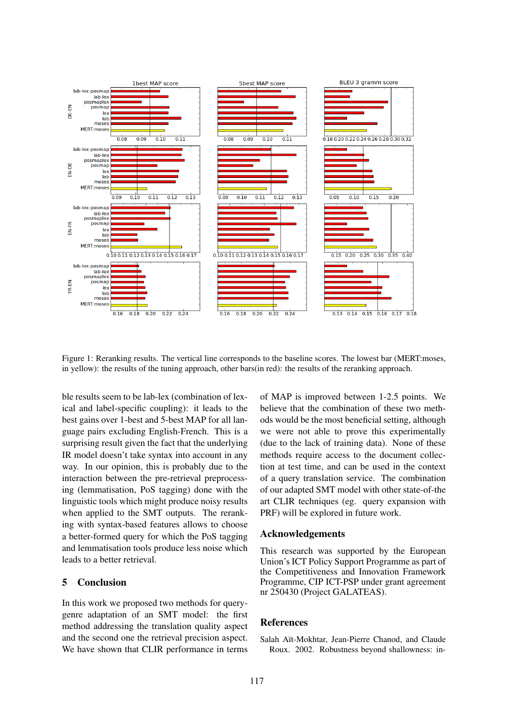

Figure 1: Reranking results. The vertical line corresponds to the baseline scores. The lowest bar (MERT:moses, in yellow): the results of the tuning approach, other bars(in red): the results of the reranking approach.

ble results seem to be lab-lex (combination of lexical and label-specific coupling): it leads to the best gains over 1-best and 5-best MAP for all language pairs excluding English-French. This is a surprising result given the fact that the underlying IR model doesn't take syntax into account in any way. In our opinion, this is probably due to the interaction between the pre-retrieval preprocessing (lemmatisation, PoS tagging) done with the linguistic tools which might produce noisy results when applied to the SMT outputs. The reranking with syntax-based features allows to choose a better-formed query for which the PoS tagging and lemmatisation tools produce less noise which leads to a better retrieval.

# 5 Conclusion

In this work we proposed two methods for querygenre adaptation of an SMT model: the first method addressing the translation quality aspect and the second one the retrieval precision aspect. We have shown that CLIR performance in terms of MAP is improved between 1-2.5 points. We believe that the combination of these two methods would be the most beneficial setting, although we were not able to prove this experimentally (due to the lack of training data). None of these methods require access to the document collection at test time, and can be used in the context of a query translation service. The combination of our adapted SMT model with other state-of-the art CLIR techniques (eg. query expansion with PRF) will be explored in future work.

#### Acknowledgements

This research was supported by the European Union's ICT Policy Support Programme as part of the Competitiveness and Innovation Framework Programme, CIP ICT-PSP under grant agreement nr 250430 (Project GALATEAS).

#### References

Salah Aït-Mokhtar, Jean-Pierre Chanod, and Claude Roux. 2002. Robustness beyond shallowness: in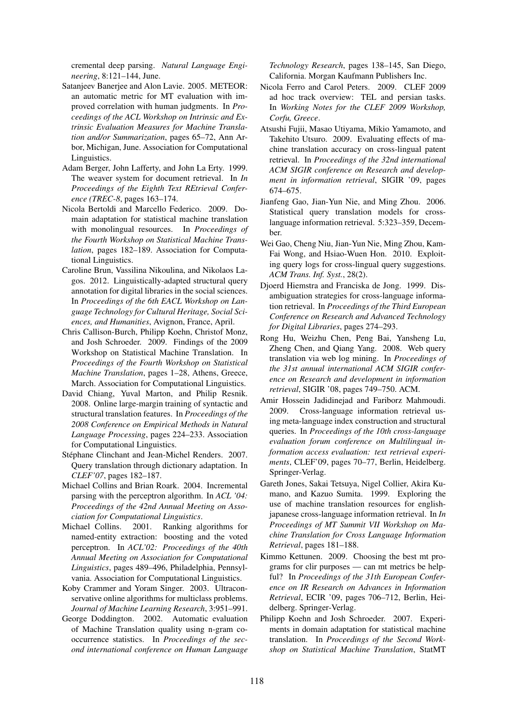cremental deep parsing. *Natural Language Engineering*, 8:121–144, June.

- Satanjeev Banerjee and Alon Lavie. 2005. METEOR: an automatic metric for MT evaluation with improved correlation with human judgments. In *Proceedings of the ACL Workshop on Intrinsic and Extrinsic Evaluation Measures for Machine Translation and/or Summarization*, pages 65–72, Ann Arbor, Michigan, June. Association for Computational Linguistics.
- Adam Berger, John Lafferty, and John La Erty. 1999. The weaver system for document retrieval. In *In Proceedings of the Eighth Text REtrieval Conference (TREC-8*, pages 163–174.
- Nicola Bertoldi and Marcello Federico. 2009. Domain adaptation for statistical machine translation with monolingual resources. In *Proceedings of the Fourth Workshop on Statistical Machine Translation*, pages 182–189. Association for Computational Linguistics.
- Caroline Brun, Vassilina Nikoulina, and Nikolaos Lagos. 2012. Linguistically-adapted structural query annotation for digital libraries in the social sciences. In *Proceedings of the 6th EACL Workshop on Language Technology for Cultural Heritage, Social Sciences, and Humanities*, Avignon, France, April.
- Chris Callison-Burch, Philipp Koehn, Christof Monz, and Josh Schroeder. 2009. Findings of the 2009 Workshop on Statistical Machine Translation. In *Proceedings of the Fourth Workshop on Statistical Machine Translation*, pages 1–28, Athens, Greece, March. Association for Computational Linguistics.
- David Chiang, Yuval Marton, and Philip Resnik. 2008. Online large-margin training of syntactic and structural translation features. In *Proceedings of the 2008 Conference on Empirical Methods in Natural Language Processing*, pages 224–233. Association for Computational Linguistics.
- Stéphane Clinchant and Jean-Michel Renders. 2007. Query translation through dictionary adaptation. In *CLEF'07*, pages 182–187.
- Michael Collins and Brian Roark. 2004. Incremental parsing with the perceptron algorithm. In *ACL '04: Proceedings of the 42nd Annual Meeting on Association for Computational Linguistics*.
- Michael Collins. 2001. Ranking algorithms for named-entity extraction: boosting and the voted perceptron. In *ACL'02: Proceedings of the 40th Annual Meeting on Association for Computational Linguistics*, pages 489–496, Philadelphia, Pennsylvania. Association for Computational Linguistics.
- Koby Crammer and Yoram Singer. 2003. Ultraconservative online algorithms for multiclass problems. *Journal of Machine Learning Research*, 3:951–991.
- George Doddington. 2002. Automatic evaluation of Machine Translation quality using n-gram cooccurrence statistics. In *Proceedings of the second international conference on Human Language*

*Technology Research*, pages 138–145, San Diego, California. Morgan Kaufmann Publishers Inc.

- Nicola Ferro and Carol Peters. 2009. CLEF 2009 ad hoc track overview: TEL and persian tasks. In *Working Notes for the CLEF 2009 Workshop, Corfu, Greece*.
- Atsushi Fujii, Masao Utiyama, Mikio Yamamoto, and Takehito Utsuro. 2009. Evaluating effects of machine translation accuracy on cross-lingual patent retrieval. In *Proceedings of the 32nd international ACM SIGIR conference on Research and development in information retrieval*, SIGIR '09, pages 674–675.
- Jianfeng Gao, Jian-Yun Nie, and Ming Zhou. 2006. Statistical query translation models for crosslanguage information retrieval. 5:323–359, December.
- Wei Gao, Cheng Niu, Jian-Yun Nie, Ming Zhou, Kam-Fai Wong, and Hsiao-Wuen Hon. 2010. Exploiting query logs for cross-lingual query suggestions. *ACM Trans. Inf. Syst.*, 28(2).
- Djoerd Hiemstra and Franciska de Jong. 1999. Disambiguation strategies for cross-language information retrieval. In *Proceedings of the Third European Conference on Research and Advanced Technology for Digital Libraries*, pages 274–293.
- Rong Hu, Weizhu Chen, Peng Bai, Yansheng Lu, Zheng Chen, and Qiang Yang. 2008. Web query translation via web log mining. In *Proceedings of the 31st annual international ACM SIGIR conference on Research and development in information retrieval*, SIGIR '08, pages 749–750. ACM.
- Amir Hossein Jadidinejad and Fariborz Mahmoudi. 2009. Cross-language information retrieval using meta-language index construction and structural queries. In *Proceedings of the 10th cross-language evaluation forum conference on Multilingual information access evaluation: text retrieval experiments*, CLEF'09, pages 70–77, Berlin, Heidelberg. Springer-Verlag.
- Gareth Jones, Sakai Tetsuya, Nigel Collier, Akira Kumano, and Kazuo Sumita. 1999. Exploring the use of machine translation resources for englishjapanese cross-language information retrieval. In *In Proceedings of MT Summit VII Workshop on Machine Translation for Cross Language Information Retrieval*, pages 181–188.
- Kimmo Kettunen. 2009. Choosing the best mt programs for clir purposes — can mt metrics be helpful? In *Proceedings of the 31th European Conference on IR Research on Advances in Information Retrieval*, ECIR '09, pages 706–712, Berlin, Heidelberg. Springer-Verlag.
- Philipp Koehn and Josh Schroeder. 2007. Experiments in domain adaptation for statistical machine translation. In *Proceedings of the Second Workshop on Statistical Machine Translation*, StatMT